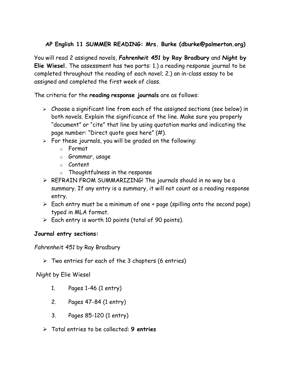## **AP English 11 SUMMER READING: Mrs. Burke (dburke@palmerton.org)**

You will read 2 assigned novels, *Fahrenheit 451* **by Ray Bradbury** and *Night* **by Elie Wiesel.** The assessment has two parts: 1.) a reading response journal to be completed throughout the reading of each novel; 2.) an in-class essay to be assigned and completed the first week of class.

The criteria for the **reading response journals** are as follows:

- ➢ Choose a significant line from each of the assigned sections (see below) in both novels. Explain the significance of the line. Make sure you properly "document" or "cite" that line by using quotation marks and indicating the page number: "Direct quote goes here" (#).
- ➢ For these journals, you will be graded on the following:
	- o Format
	- o Grammar, usage
	- o Content
	- o Thoughtfulness in the response
- ➢ REFRAIN FROM SUMMARIZING! The journals should in no way be a summary. If any entry is a summary, it will not count as a reading response entry.
- $\triangleright$  Each entry must be a minimum of one + page (spilling onto the second page) typed in MLA format.
- $\triangleright$  Each entry is worth 10 points (total of 90 points).

## **Journal entry sections:**

*Fahrenheit 451* by Ray Bradbury

 $\triangleright$  Two entries for each of the 3 chapters (6 entries)

*Night* by Elie Wiesel

- 1. Pages 1-46 (1 entry)
- 2. Pages 47-84 (1 entry)
- 3. Pages 85-120 (1 entry)
- ➢ Total entries to be collected: **9 entries**